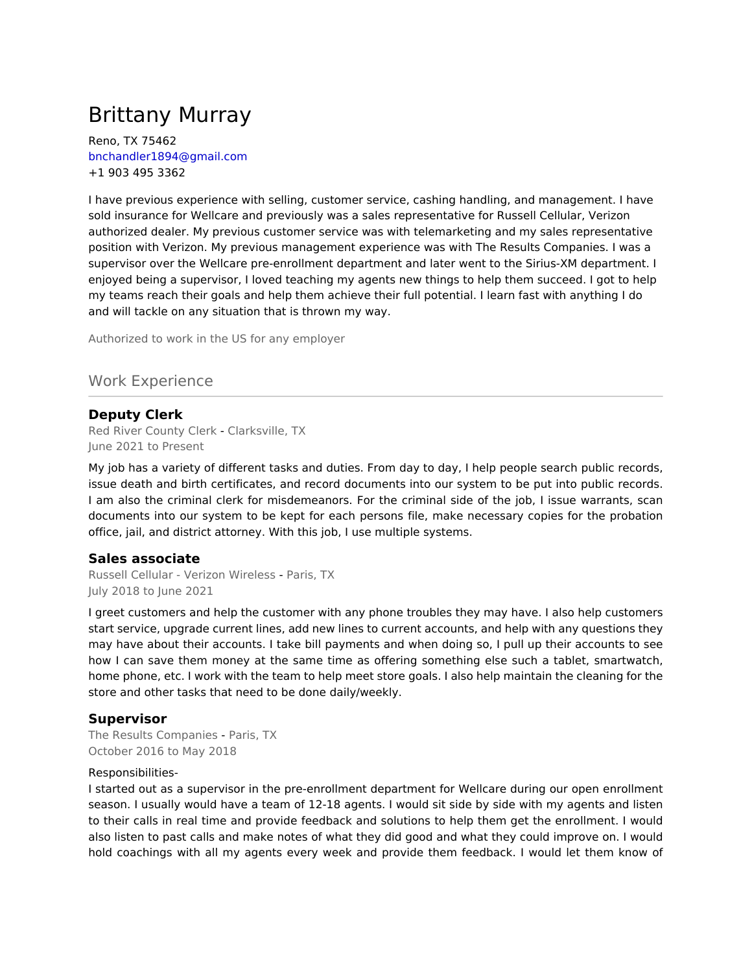# Brittany Murray

Reno, TX 75462 bnchandler1894@gmail.com +1 903 495 3362

I have previous experience with selling, customer service, cashing handling, and management. I have sold insurance for Wellcare and previously was a sales representative for Russell Cellular, Verizon authorized dealer. My previous customer service was with telemarketing and my sales representative position with Verizon. My previous management experience was with The Results Companies. I was a supervisor over the Wellcare pre-enrollment department and later went to the Sirius-XM department. I enjoyed being a supervisor, I loved teaching my agents new things to help them succeed. I got to help my teams reach their goals and help them achieve their full potential. I learn fast with anything I do and will tackle on any situation that is thrown my way.

Authorized to work in the US for any employer

## Work Experience

### **Deputy Clerk**

Red River County Clerk - Clarksville, TX June 2021 to Present

My job has a variety of different tasks and duties. From day to day, I help people search public records, issue death and birth certificates, and record documents into our system to be put into public records. I am also the criminal clerk for misdemeanors. For the criminal side of the job, I issue warrants, scan documents into our system to be kept for each persons file, make necessary copies for the probation office, jail, and district attorney. With this job, I use multiple systems.

### **Sales associate**

Russell Cellular - Verizon Wireless - Paris, TX July 2018 to June 2021

I greet customers and help the customer with any phone troubles they may have. I also help customers start service, upgrade current lines, add new lines to current accounts, and help with any questions they may have about their accounts. I take bill payments and when doing so, I pull up their accounts to see how I can save them money at the same time as offering something else such a tablet, smartwatch, home phone, etc. I work with the team to help meet store goals. I also help maintain the cleaning for the store and other tasks that need to be done daily/weekly.

### **Supervisor**

The Results Companies - Paris, TX October 2016 to May 2018

#### Responsibilities-

I started out as a supervisor in the pre-enrollment department for Wellcare during our open enrollment season. I usually would have a team of 12-18 agents. I would sit side by side with my agents and listen to their calls in real time and provide feedback and solutions to help them get the enrollment. I would also listen to past calls and make notes of what they did good and what they could improve on. I would hold coachings with all my agents every week and provide them feedback. I would let them know of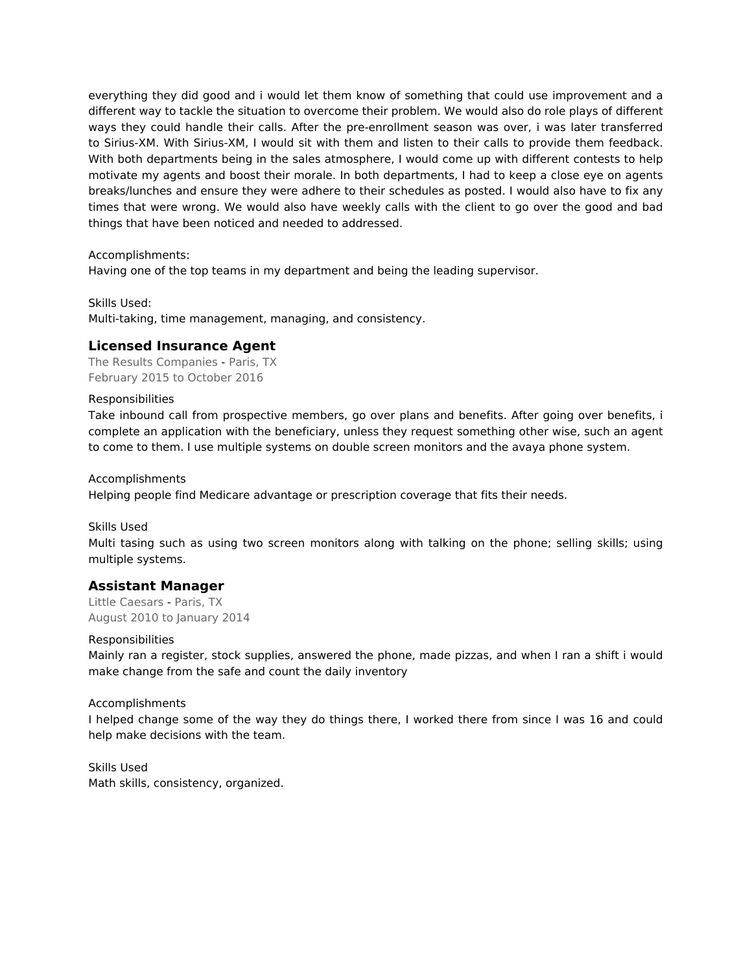everything they did good and i would let them know of something that could use improvement and a different way to tackle the situation to overcome their problem. We would also do role plays of different ways they could handle their calls. After the pre-enrollment season was over, i was later transferred to Sirius-XM. With Sirius-XM, I would sit with them and listen to their calls to provide them feedback. With both departments being in the sales atmosphere, I would come up with different contests to help motivate my agents and boost their morale. In both departments, I had to keep a close eye on agents breaks/lunches and ensure they were adhere to their schedules as posted. I would also have to fix any times that were wrong. We would also have weekly calls with the client to go over the good and bad things that have been noticed and needed to addressed.

Accomplishments:

Having one of the top teams in my department and being the leading supervisor.

Skills Used: Multi-taking, time management, managing, and consistency.

### **Licensed Insurance Agent**

The Results Companies - Paris, TX February 2015 to October 2016

#### Responsibilities

Take inbound call from prospective members, go over plans and benefits. After going over benefits, i complete an application with the beneficiary, unless they request something other wise, such an agent to come to them. I use multiple systems on double screen monitors and the avaya phone system.

Accomplishments

Helping people find Medicare advantage or prescription coverage that fits their needs.

Skills Used

Multi tasing such as using two screen monitors along with talking on the phone; selling skills; using multiple systems.

### **Assistant Manager**

Little Caesars - Paris, TX August 2010 to January 2014

#### Responsibilities

Mainly ran a register, stock supplies, answered the phone, made pizzas, and when I ran a shift i would make change from the safe and count the daily inventory

#### Accomplishments

I helped change some of the way they do things there, I worked there from since I was 16 and could help make decisions with the team.

Skills Used Math skills, consistency, organized.